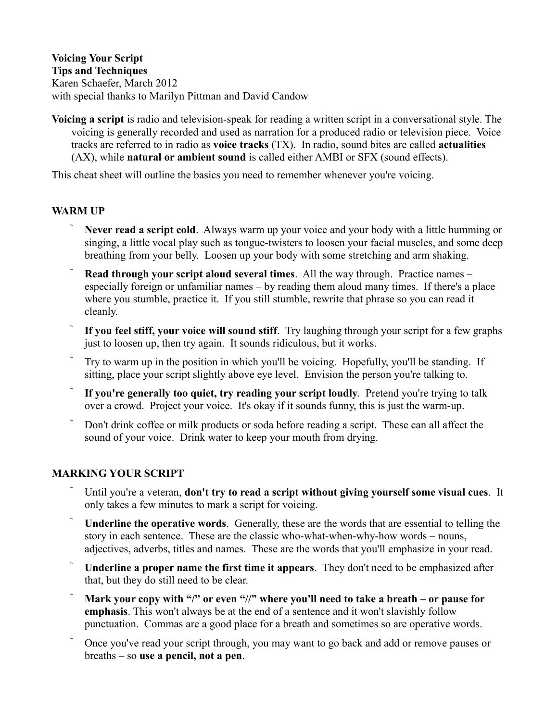**Voicing Your Script Tips and Techniques** Karen Schaefer, March 2012 with special thanks to Marilyn Pittman and David Candow

**Voicing a script** is radio and television-speak for reading a written script in a conversational style. The voicing is generally recorded and used as narration for a produced radio or television piece. Voice tracks are referred to in radio as **voice tracks** (TX). In radio, sound bites are called **actualities** (AX), while **natural or ambient sound** is called either AMBI or SFX (sound effects).

This cheat sheet will outline the basics you need to remember whenever you're voicing.

### **WARM UP**

- **Never read a script cold**. Always warm up your voice and your body with a little humming or singing, a little vocal play such as tongue-twisters to loosen your facial muscles, and some deep breathing from your belly. Loosen up your body with some stretching and arm shaking.
- **Read through your script aloud several times**. All the way through. Practice names especially foreign or unfamiliar names – by reading them aloud many times. If there's a place where you stumble, practice it. If you still stumble, rewrite that phrase so you can read it cleanly.
- **If you feel stiff, your voice will sound stiff**. Try laughing through your script for a few graphs just to loosen up, then try again. It sounds ridiculous, but it works.
- Try to warm up in the position in which you'll be voicing. Hopefully, you'll be standing. If sitting, place your script slightly above eye level. Envision the person you're talking to.
- If you're generally too quiet, try reading your script loudly. Pretend you're trying to talk over a crowd. Project your voice. It's okay if it sounds funny, this is just the warm-up.
- Don't drink coffee or milk products or soda before reading a script. These can all affect the sound of your voice. Drink water to keep your mouth from drying.

# **MARKING YOUR SCRIPT**

- Until you're a veteran, **don't try to read a script without giving yourself some visual cues**. It only takes a few minutes to mark a script for voicing.
- **Underline the operative words**. Generally, these are the words that are essential to telling the story in each sentence. These are the classic who-what-when-why-how words – nouns, adjectives, adverbs, titles and names. These are the words that you'll emphasize in your read.
- **Underline a proper name the first time it appears**. They don't need to be emphasized after that, but they do still need to be clear.
- **Mark your copy with "/" or even "//" where you'll need to take a breath or pause for emphasis**. This won't always be at the end of a sentence and it won't slavishly follow punctuation. Commas are a good place for a breath and sometimes so are operative words.
- Once you've read your script through, you may want to go back and add or remove pauses or breaths – so **use a pencil, not a pen**.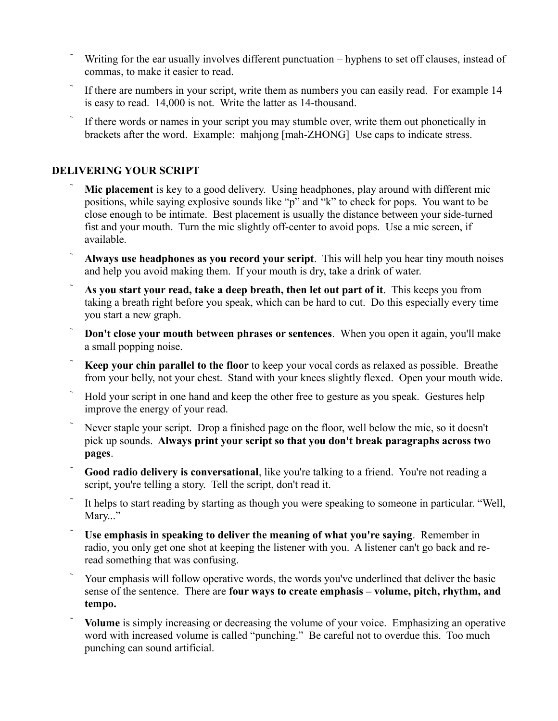- Writing for the ear usually involves different punctuation hyphens to set off clauses, instead of commas, to make it easier to read.
- If there are numbers in your script, write them as numbers you can easily read. For example 14 is easy to read. 14,000 is not. Write the latter as 14-thousand.
- If there words or names in your script you may stumble over, write them out phonetically in brackets after the word. Example: mahjong [mah-ZHONG] Use caps to indicate stress.

# **DELIVERING YOUR SCRIPT**

- **Mic placement** is key to a good delivery. Using headphones, play around with different mic positions, while saying explosive sounds like "p" and "k" to check for pops. You want to be close enough to be intimate. Best placement is usually the distance between your side-turned fist and your mouth. Turn the mic slightly off-center to avoid pops. Use a mic screen, if available.
- **Always use headphones as you record your script**. This will help you hear tiny mouth noises and help you avoid making them. If your mouth is dry, take a drink of water.
- **As you start your read, take a deep breath, then let out part of it**. This keeps you from taking a breath right before you speak, which can be hard to cut. Do this especially every time you start a new graph.
- **Don't close your mouth between phrases or sentences**. When you open it again, you'll make a small popping noise.
- **Keep your chin parallel to the floor** to keep your vocal cords as relaxed as possible. Breathe from your belly, not your chest. Stand with your knees slightly flexed. Open your mouth wide.
- Hold your script in one hand and keep the other free to gesture as you speak. Gestures help improve the energy of your read.
- Never staple your script. Drop a finished page on the floor, well below the mic, so it doesn't pick up sounds. **Always print your script so that you don't break paragraphs across two pages**.
- **Good radio delivery is conversational**, like you're talking to a friend. You're not reading a script, you're telling a story. Tell the script, don't read it.
- It helps to start reading by starting as though you were speaking to someone in particular. "Well, Mary..."
- **Use emphasis in speaking to deliver the meaning of what you're saying**. Remember in radio, you only get one shot at keeping the listener with you. A listener can't go back and reread something that was confusing.
- Your emphasis will follow operative words, the words you've underlined that deliver the basic sense of the sentence. There are **four ways to create emphasis – volume, pitch, rhythm, and tempo.**
- **Volume** is simply increasing or decreasing the volume of your voice. Emphasizing an operative word with increased volume is called "punching." Be careful not to overdue this. Too much punching can sound artificial.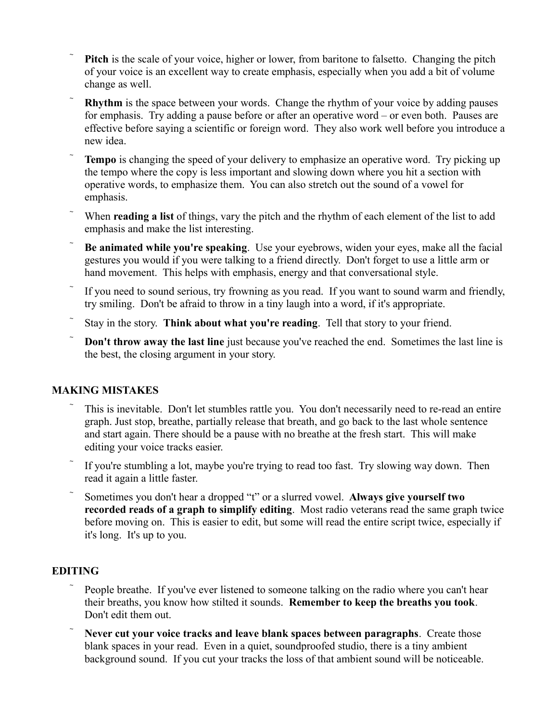- **Pitch** is the scale of your voice, higher or lower, from baritone to falsetto. Changing the pitch of your voice is an excellent way to create emphasis, especially when you add a bit of volume change as well.
- **Rhythm** is the space between your words. Change the rhythm of your voice by adding pauses for emphasis. Try adding a pause before or after an operative word – or even both. Pauses are effective before saying a scientific or foreign word. They also work well before you introduce a new idea.
- **Tempo** is changing the speed of your delivery to emphasize an operative word. Try picking up the tempo where the copy is less important and slowing down where you hit a section with operative words, to emphasize them. You can also stretch out the sound of a vowel for emphasis.
- When **reading a list** of things, vary the pitch and the rhythm of each element of the list to add emphasis and make the list interesting.
- **Be animated while you're speaking**. Use your eyebrows, widen your eyes, make all the facial gestures you would if you were talking to a friend directly. Don't forget to use a little arm or hand movement. This helps with emphasis, energy and that conversational style.
- If you need to sound serious, try frowning as you read. If you want to sound warm and friendly, try smiling. Don't be afraid to throw in a tiny laugh into a word, if it's appropriate.
- Stay in the story. **Think about what you're reading**. Tell that story to your friend.
- **Don't throw away the last line** just because you've reached the end. Sometimes the last line is the best, the closing argument in your story.

# **MAKING MISTAKES**

- This is inevitable. Don't let stumbles rattle you. You don't necessarily need to re-read an entire graph. Just stop, breathe, partially release that breath, and go back to the last whole sentence and start again. There should be a pause with no breathe at the fresh start. This will make editing your voice tracks easier.
- If you're stumbling a lot, maybe you're trying to read too fast. Try slowing way down. Then read it again a little faster.
- Sometimes you don't hear a dropped "t" or a slurred vowel. **Always give yourself two recorded reads of a graph to simplify editing**. Most radio veterans read the same graph twice before moving on. This is easier to edit, but some will read the entire script twice, especially if it's long. It's up to you.

### **EDITING**

- People breathe. If you've ever listened to someone talking on the radio where you can't hear their breaths, you know how stilted it sounds. **Remember to keep the breaths you took**. Don't edit them out.
- **Never cut your voice tracks and leave blank spaces between paragraphs**. Create those blank spaces in your read. Even in a quiet, soundproofed studio, there is a tiny ambient background sound. If you cut your tracks the loss of that ambient sound will be noticeable.